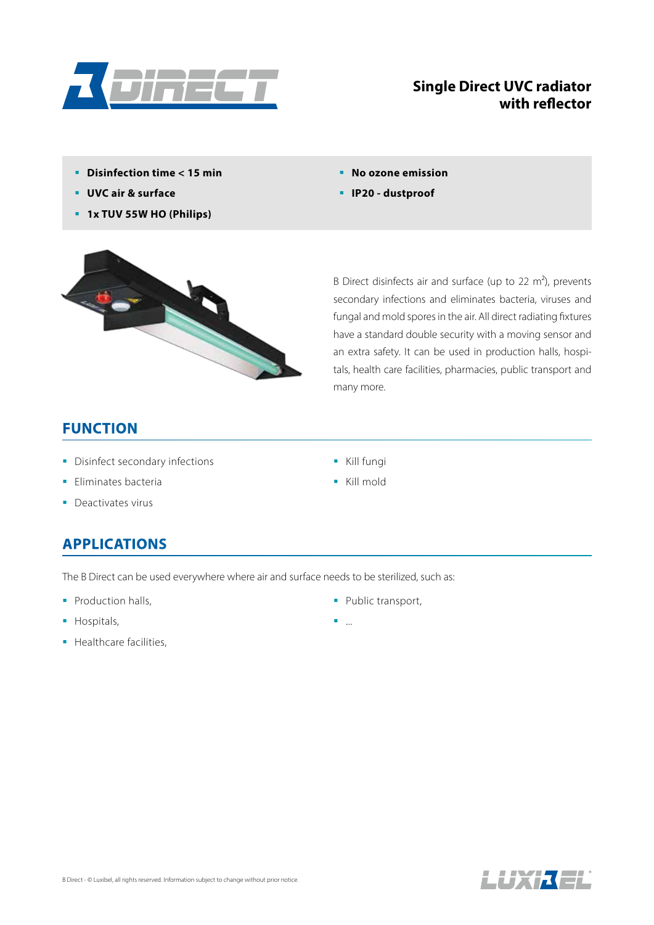

#### **Single Direct UVC radiator with reflector**

- **Disinfection time < 15 min**
- **UVC air & surface**
- **1x TUV 55W HO (Philips)**
- **No ozone emission**
- **IP20 dustproof**



B Direct disinfects air and surface (up to 22  $m<sup>2</sup>$ ), prevents secondary infections and eliminates bacteria, viruses and fungal and mold spores in the air. All direct radiating fixtures have a standard double security with a moving sensor and an extra safety. It can be used in production halls, hospitals, health care facilities, pharmacies, public transport and many more.

#### **FUNCTION**

- **Disinfect secondary infections**
- **Eliminates bacteria**
- Deactivates virus

#### **APPLICATIONS**

The B Direct can be used everywhere where air and surface needs to be sterilized, such as:

- Production halls,
- Hospitals,
- **Healthcare facilities,**
- Kill fungi
- Kill mold

- Public transport,
- ...

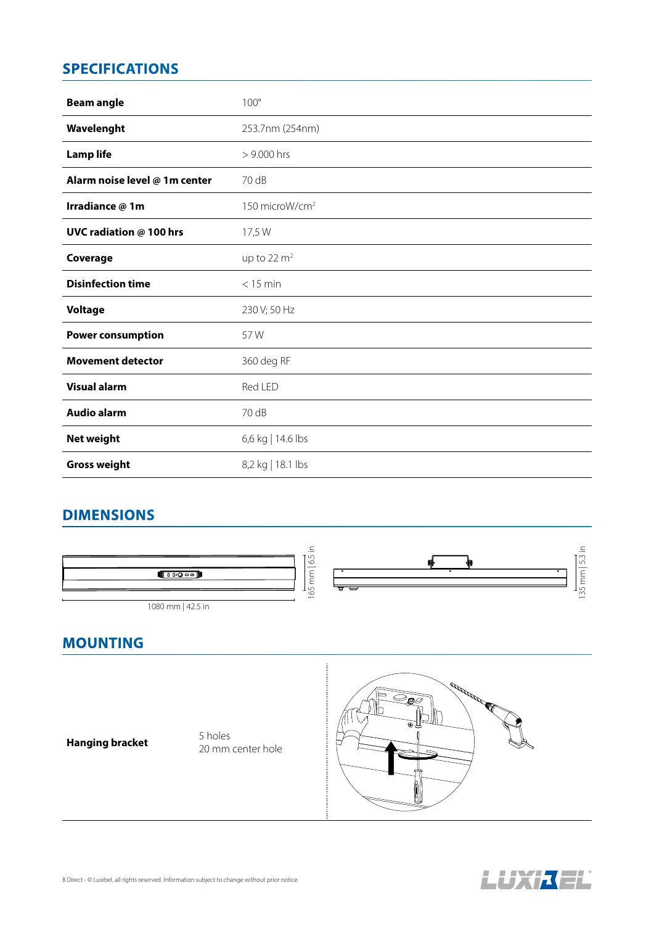# **SPECIFICATIONS**

| <b>Beam angle</b>              | $100^\circ$                |
|--------------------------------|----------------------------|
| Wavelenght                     | 253.7nm (254nm)            |
| <b>Lamp life</b>               | > 9.000 hrs                |
| Alarm noise level @ 1m center  | 70 dB                      |
| Irradiance @ 1m                | 150 microW/cm <sup>2</sup> |
| <b>UVC radiation @ 100 hrs</b> | 17,5 W                     |
| Coverage                       | up to 22 $m2$              |
| <b>Disinfection time</b>       | $<$ 15 min                 |
| <b>Voltage</b>                 | 230 V; 50 Hz               |
| <b>Power consumption</b>       | 57W                        |
| <b>Movement detector</b>       | 360 deg RF                 |
| <b>Visual alarm</b>            | Red LED                    |
| <b>Audio alarm</b>             | 70 dB                      |
| <b>Net weight</b>              | 6,6 kg   14.6 lbs          |
| <b>Gross weight</b>            | 8,2 kg   18.1 lbs          |

### **DIMENSIONS**



# **Hanging bracket** 5 holes

20 mm center hole